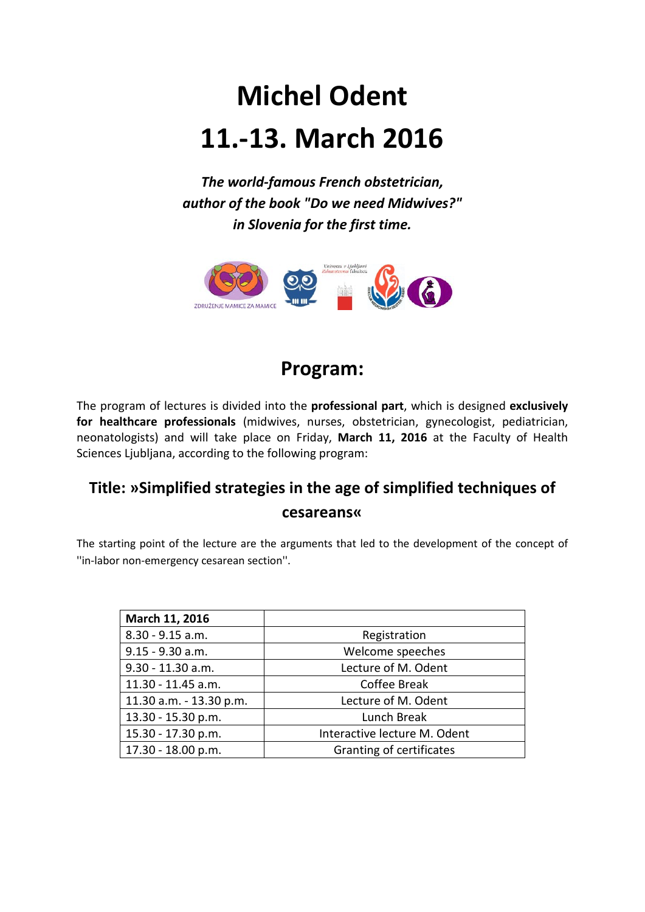# **Michel Odent 11.-13. March 2016**

*The world-famous French obstetrician, author of the book "Do we need Midwives?" in Slovenia for the first time.*



### **Program:**

The program of lectures is divided into the **professional part**, which is designed **exclusively for healthcare professionals** (midwives, nurses, obstetrician, gynecologist, pediatrician, neonatologists) and will take place on Friday, **March 11, 2016** at the Faculty of Health Sciences Ljubljana, according to the following program:

#### **Title: »Simplified strategies in the age of simplified techniques of cesareans«**

The starting point of the lecture are the arguments that led to the development of the concept of ''in-labor non-emergency cesarean section''.

| March 11, 2016          |                              |
|-------------------------|------------------------------|
| $8.30 - 9.15$ a.m.      | Registration                 |
| $9.15 - 9.30$ a.m.      | Welcome speeches             |
| $9.30 - 11.30$ a.m.     | Lecture of M. Odent          |
| 11.30 - 11.45 a.m.      | <b>Coffee Break</b>          |
| 11.30 a.m. - 13.30 p.m. | Lecture of M. Odent          |
| 13.30 - 15.30 p.m.      | Lunch Break                  |
| 15.30 - 17.30 p.m.      | Interactive lecture M. Odent |
| 17.30 - 18.00 p.m.      | Granting of certificates     |